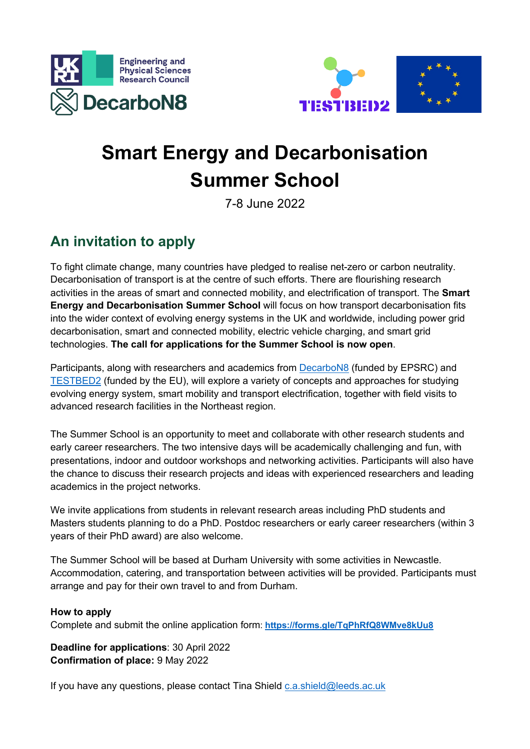



## **Smart Energy and Decarbonisation Summer School**

7-8 June 2022

## **An invitation to apply**

To fight climate change, many countries have pledged to realise net-zero or carbon neutrality. Decarbonisation of transport is at the centre of such efforts. There are flourishing research activities in the areas of smart and connected mobility, and electrification of transport. The **Smart Energy and Decarbonisation Summer School** will focus on how transport decarbonisation fits into the wider context of evolving energy systems in the UK and worldwide, including power grid decarbonisation, smart and connected mobility, electric vehicle charging, and smart grid technologies. **The call for applications for the Summer School is now open**.

Participants, along with researchers and academics from DecarboN8 (funded by EPSRC) and TESTBED2 (funded by the EU), will explore a variety of concepts and approaches for studying evolving energy system, smart mobility and transport electrification, together with field visits to advanced research facilities in the Northeast region.

The Summer School is an opportunity to meet and collaborate with other research students and early career researchers. The two intensive days will be academically challenging and fun, with presentations, indoor and outdoor workshops and networking activities. Participants will also have the chance to discuss their research projects and ideas with experienced researchers and leading academics in the project networks.

We invite applications from students in relevant research areas including PhD students and Masters students planning to do a PhD. Postdoc researchers or early career researchers (within 3 years of their PhD award) are also welcome.

The Summer School will be based at Durham University with some activities in Newcastle. Accommodation, catering, and transportation between activities will be provided. Participants must arrange and pay for their own travel to and from Durham.

## **How to apply**

Complete and submit the online application form: **https://forms.gle/TqPhRfQ8WMve8kUu8**

**Deadline for applications**: 30 April 2022 **Confirmation of place:** 9 May 2022

If you have any questions, please contact Tina Shield c.a.shield@leeds.ac.uk